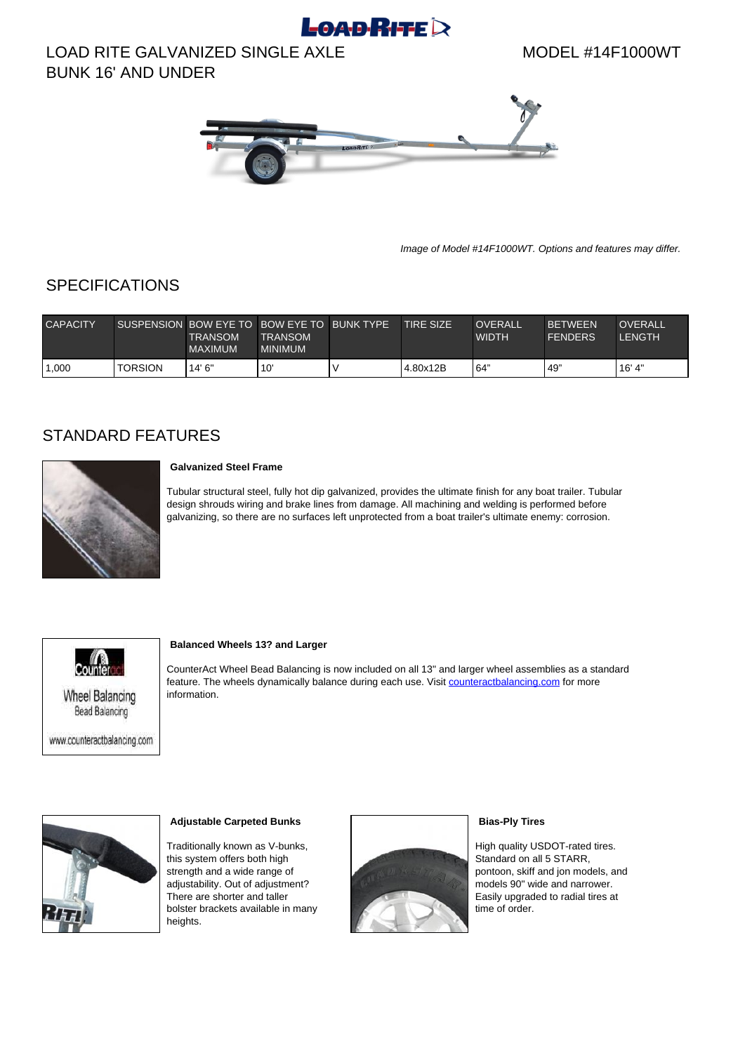# $L$ OAD $R$ ITE $\geq$

# LOAD RITE GALVANIZED SINGLE AXLE BUNK 16' AND UNDER

MODEL #14F1000WT



Image of Model #14F1000WT. Options and features may differ.

## **SPECIFICATIONS**

| <b>CAPACITY</b> |                | <b>TRANSOM</b><br><b>MAXIMUM</b> | SUSPENSION BOW EYE TO BOW EYE TO BUNK TYPE<br><b>TRANSOM</b><br><b>MINIMUM</b> | <b>TIRE SIZE</b> | OVERALL<br><b>WIDTH</b> | <b>BETWEEN</b><br><b>FENDERS</b> | <b>OVERALL</b><br>LENGTH |
|-----------------|----------------|----------------------------------|--------------------------------------------------------------------------------|------------------|-------------------------|----------------------------------|--------------------------|
| ,000            | <b>TORSION</b> | 14'6''                           | 10                                                                             | l 4.80x12B       | 64"                     | 49'                              | 16' 4"                   |

### STANDARD FEATURES



### **Galvanized Steel Frame**

Tubular structural steel, fully hot dip galvanized, provides the ultimate finish for any boat trailer. Tubular design shrouds wiring and brake lines from damage. All machining and welding is performed before galvanizing, so there are no surfaces left unprotected from a boat trailer's ultimate enemy: corrosion.



**Wheel Balancing Bead Balancing** 

www.counteractbalancing.com

#### **Balanced Wheels 13? and Larger**

CounterAct Wheel Bead Balancing is now included on all 13" and larger wheel assemblies as a standard feature. The wheels dynamically balance during each use. Visit [counteractbalancing.com](http://www.counteractbalancing.com/) for more information.



#### **Adjustable Carpeted Bunks**

Traditionally known as V-bunks, this system offers both high strength and a wide range of adjustability. Out of adjustment? There are shorter and taller bolster brackets available in many heights.



#### **Bias-Ply Tires**

High quality USDOT-rated tires. Standard on all 5 STARR, pontoon, skiff and jon models, and models 90" wide and narrower. Easily upgraded to radial tires at time of order.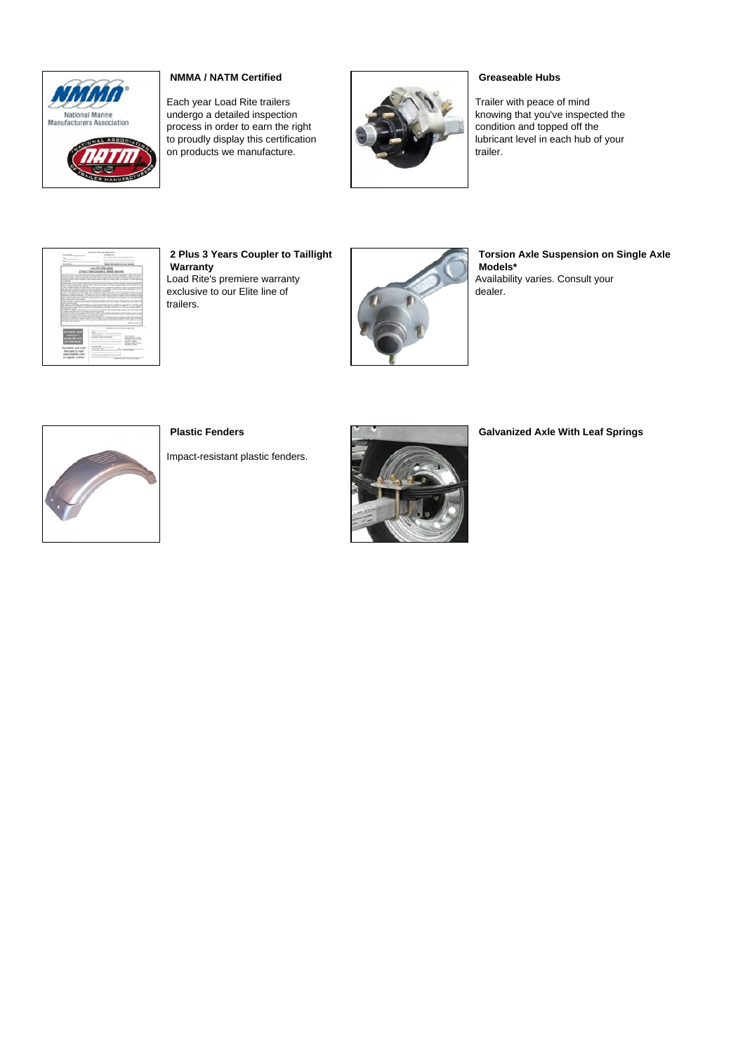

### **NMMA / NATM Certified**

Each year Load Rite trailers undergo a detailed inspection process in order to earn the right to proudly display this certification on products we manufacture.



### **Greaseable Hubs**

Trailer with peace of mind knowing that you've inspected the condition and topped off the lubricant level in each hub of your trailer.



**2 Plus 3 Years Coupler to Taillight Warranty** Load Rite's premiere warranty exclusive to our Elite line of trailers.



**Torsion Axle Suspension on Single Axle Models\*** Availability varies. Consult your dealer.



**Plastic Fenders**

Impact-resistant plastic fenders.



**Galvanized Axle With Leaf Springs**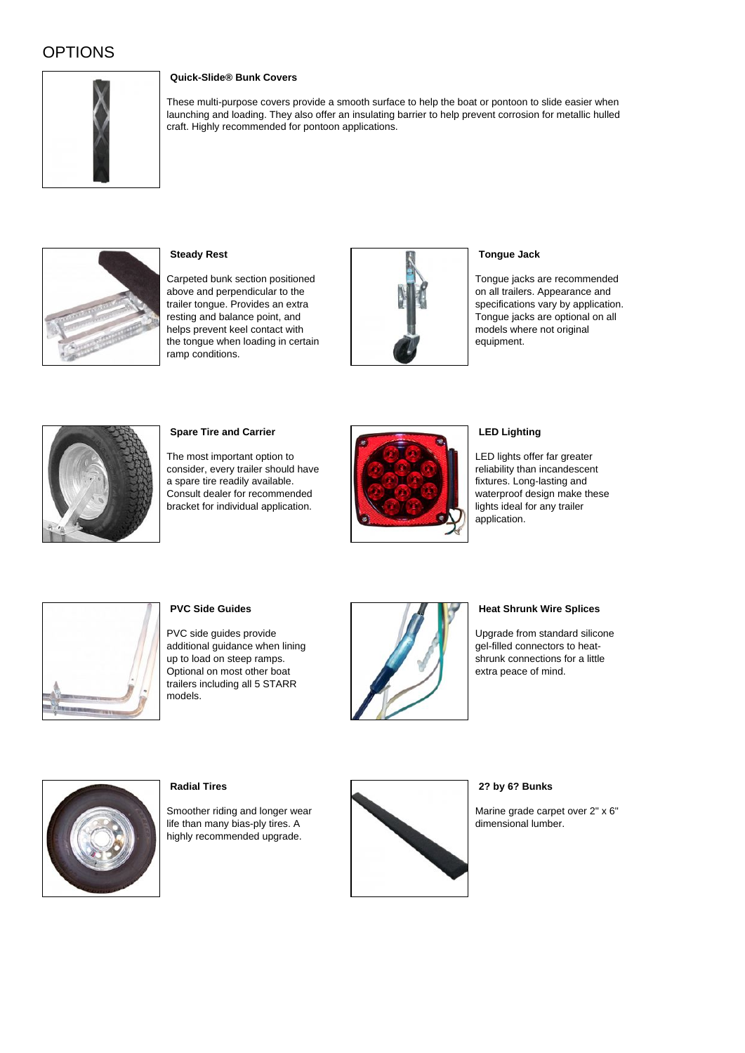# OPTIONS



### **Quick-Slide® Bunk Covers**

These multi-purpose covers provide a smooth surface to help the boat or pontoon to slide easier when launching and loading. They also offer an insulating barrier to help prevent corrosion for metallic hulled craft. Highly recommended for pontoon applications.



**Steady Rest**

Carpeted bunk section positioned above and perpendicular to the trailer tongue. Provides an extra resting and balance point, and helps prevent keel contact with the tongue when loading in certain ramp conditions.



### **Tongue Jack**

Tongue jacks are recommended on all trailers. Appearance and specifications vary by application. Tongue jacks are optional on all models where not original equipment.



### **Spare Tire and Carrier**

The most important option to consider, every trailer should have a spare tire readily available. Consult dealer for recommended bracket for individual application.



### **LED Lighting**

LED lights offer far greater reliability than incandescent fixtures. Long-lasting and waterproof design make these lights ideal for any trailer application.



### **PVC Side Guides**

PVC side guides provide additional guidance when lining up to load on steep ramps. Optional on most other boat trailers including all 5 STARR models.



### **Heat Shrunk Wire Splices**

Upgrade from standard silicone gel-filled connectors to heatshrunk connections for a little extra peace of mind.



### **Radial Tires**

Smoother riding and longer wear life than many bias-ply tires. A highly recommended upgrade.



### **2? by 6? Bunks**

Marine grade carpet over 2" x 6" dimensional lumber.